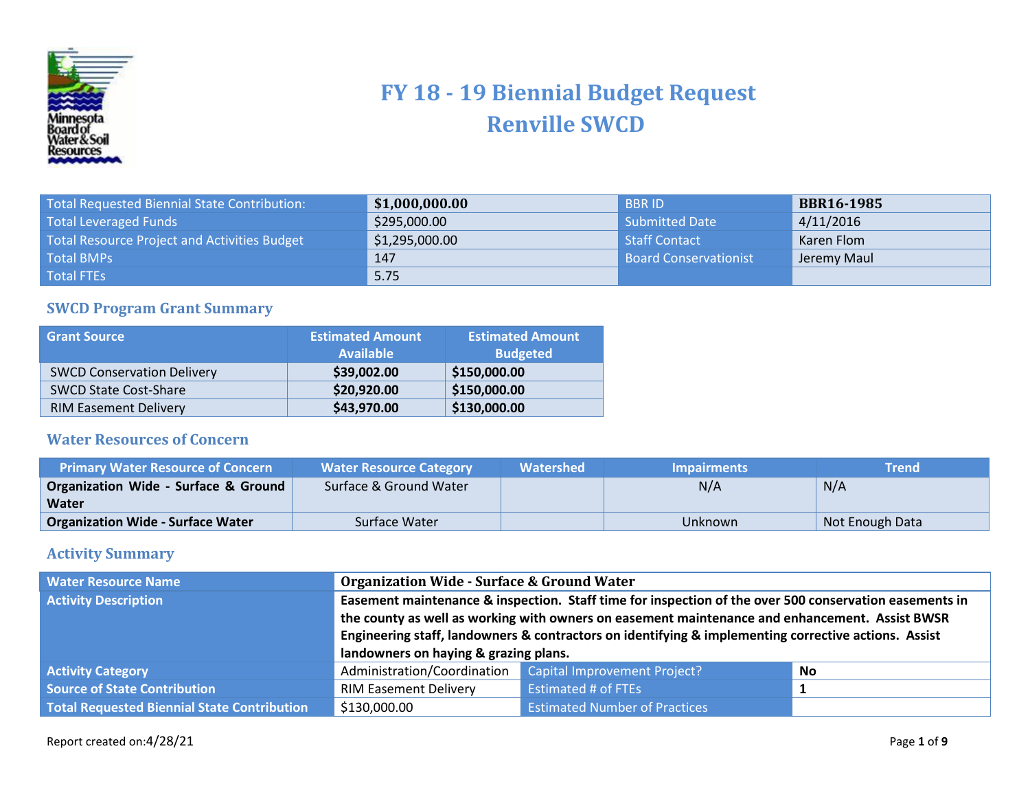

## **FY 18 - 19 Biennial Budget Request Renville SWCD**

| Total Requested Biennial State Contribution: | \$1,000,000.00 | <b>BBRID</b>                 | <b>BBR16-1985</b> |
|----------------------------------------------|----------------|------------------------------|-------------------|
| <b>Total Leveraged Funds</b>                 | \$295,000.00   | Submitted Date               | 4/11/2016         |
| Total Resource Project and Activities Budget | \$1,295,000.00 | Staff Contact                | Karen Flom        |
| <b>Total BMPs</b>                            | 147            | <b>Board Conservationist</b> | Jeremy Maul       |
| <b>Total FTEs</b>                            | 5.75           |                              |                   |

## **SWCD Program Grant Summary**

| <b>Grant Source</b>               | <b>Estimated Amount</b><br><b>Available</b> | <b>Estimated Amount</b><br><b>Budgeted</b> |
|-----------------------------------|---------------------------------------------|--------------------------------------------|
| <b>SWCD Conservation Delivery</b> | \$39,002.00                                 | \$150,000.00                               |
| <b>SWCD State Cost-Share</b>      | \$20,920.00                                 | \$150,000.00                               |
| <b>RIM Easement Delivery</b>      | \$43,970.00                                 | \$130,000.00                               |

## **Water Resources of Concern**

| <b>Primary Water Resource of Concern</b> | <b>Water Resource Category</b> | Watershed | <b>Impairments</b> | Trend           |
|------------------------------------------|--------------------------------|-----------|--------------------|-----------------|
| Organization Wide - Surface & Ground     | Surface & Ground Water         |           | N/A                | N/A             |
| Water                                    |                                |           |                    |                 |
| <b>Organization Wide - Surface Water</b> | Surface Water                  |           | Unknown            | Not Enough Data |

## **Activity Summary**

| <b>Water Resource Name</b>                  | <b>Organization Wide - Surface &amp; Ground Water</b>                                                                                                                                                                                                                                                                                                     |                                      |    |
|---------------------------------------------|-----------------------------------------------------------------------------------------------------------------------------------------------------------------------------------------------------------------------------------------------------------------------------------------------------------------------------------------------------------|--------------------------------------|----|
| <b>Activity Description</b>                 | Easement maintenance & inspection. Staff time for inspection of the over 500 conservation easements in<br>the county as well as working with owners on easement maintenance and enhancement. Assist BWSR<br>Engineering staff, landowners & contractors on identifying & implementing corrective actions. Assist<br>landowners on haying & grazing plans. |                                      |    |
| <b>Activity Category</b>                    | Administration/Coordination                                                                                                                                                                                                                                                                                                                               | <b>Capital Improvement Project?</b>  | No |
| <b>Source of State Contribution</b>         | <b>RIM Easement Delivery</b>                                                                                                                                                                                                                                                                                                                              | <b>Estimated # of FTEs</b>           |    |
| Total Requested Biennial State Contribution | \$130,000.00                                                                                                                                                                                                                                                                                                                                              | <b>Estimated Number of Practices</b> |    |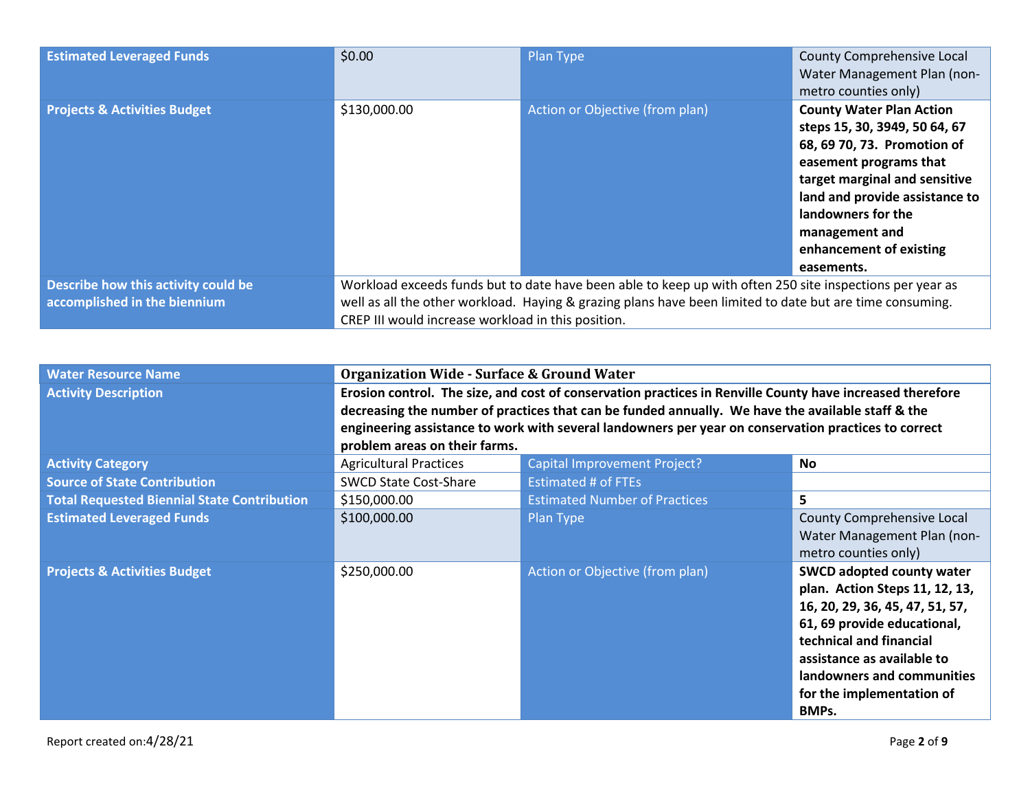| <b>Estimated Leveraged Funds</b>                                    | \$0.00                                                                                                                                                                                                                                                                     | Plan Type                       | County Comprehensive Local<br>Water Management Plan (non-<br>metro counties only)                                                                                                                                                                                             |
|---------------------------------------------------------------------|----------------------------------------------------------------------------------------------------------------------------------------------------------------------------------------------------------------------------------------------------------------------------|---------------------------------|-------------------------------------------------------------------------------------------------------------------------------------------------------------------------------------------------------------------------------------------------------------------------------|
| <b>Projects &amp; Activities Budget</b>                             | \$130,000.00                                                                                                                                                                                                                                                               | Action or Objective (from plan) | <b>County Water Plan Action</b><br>steps 15, 30, 3949, 50 64, 67<br>68, 69 70, 73. Promotion of<br>easement programs that<br>target marginal and sensitive<br>land and provide assistance to<br>landowners for the<br>management and<br>enhancement of existing<br>easements. |
| Describe how this activity could be<br>accomplished in the biennium | Workload exceeds funds but to date have been able to keep up with often 250 site inspections per year as<br>well as all the other workload. Haying & grazing plans have been limited to date but are time consuming.<br>CREP III would increase workload in this position. |                                 |                                                                                                                                                                                                                                                                               |

| <b>Water Resource Name</b>                         | <b>Organization Wide - Surface &amp; Ground Water</b>                                                     |                                                                                                   |                                   |  |
|----------------------------------------------------|-----------------------------------------------------------------------------------------------------------|---------------------------------------------------------------------------------------------------|-----------------------------------|--|
| <b>Activity Description</b>                        | Erosion control. The size, and cost of conservation practices in Renville County have increased therefore |                                                                                                   |                                   |  |
|                                                    |                                                                                                           | decreasing the number of practices that can be funded annually. We have the available staff & the |                                   |  |
|                                                    | engineering assistance to work with several landowners per year on conservation practices to correct      |                                                                                                   |                                   |  |
|                                                    | problem areas on their farms.                                                                             |                                                                                                   |                                   |  |
| <b>Activity Category</b>                           | <b>Agricultural Practices</b>                                                                             | <b>Capital Improvement Project?</b>                                                               | <b>No</b>                         |  |
| <b>Source of State Contribution</b>                | <b>SWCD State Cost-Share</b>                                                                              | <b>Estimated # of FTEs</b>                                                                        |                                   |  |
| <b>Total Requested Biennial State Contribution</b> | \$150,000.00                                                                                              | <b>Estimated Number of Practices</b>                                                              | 5                                 |  |
| <b>Estimated Leveraged Funds</b>                   | \$100,000.00                                                                                              | Plan Type                                                                                         | <b>County Comprehensive Local</b> |  |
|                                                    |                                                                                                           |                                                                                                   | Water Management Plan (non-       |  |
|                                                    |                                                                                                           |                                                                                                   | metro counties only)              |  |
| <b>Projects &amp; Activities Budget</b>            | \$250,000.00                                                                                              | Action or Objective (from plan)                                                                   | <b>SWCD adopted county water</b>  |  |
|                                                    |                                                                                                           |                                                                                                   | plan. Action Steps 11, 12, 13,    |  |
|                                                    |                                                                                                           |                                                                                                   | 16, 20, 29, 36, 45, 47, 51, 57,   |  |
|                                                    |                                                                                                           |                                                                                                   | 61, 69 provide educational,       |  |
|                                                    |                                                                                                           |                                                                                                   | technical and financial           |  |
|                                                    |                                                                                                           |                                                                                                   | assistance as available to        |  |
|                                                    |                                                                                                           |                                                                                                   | landowners and communities        |  |
|                                                    |                                                                                                           |                                                                                                   | for the implementation of         |  |
|                                                    |                                                                                                           |                                                                                                   | BMPs.                             |  |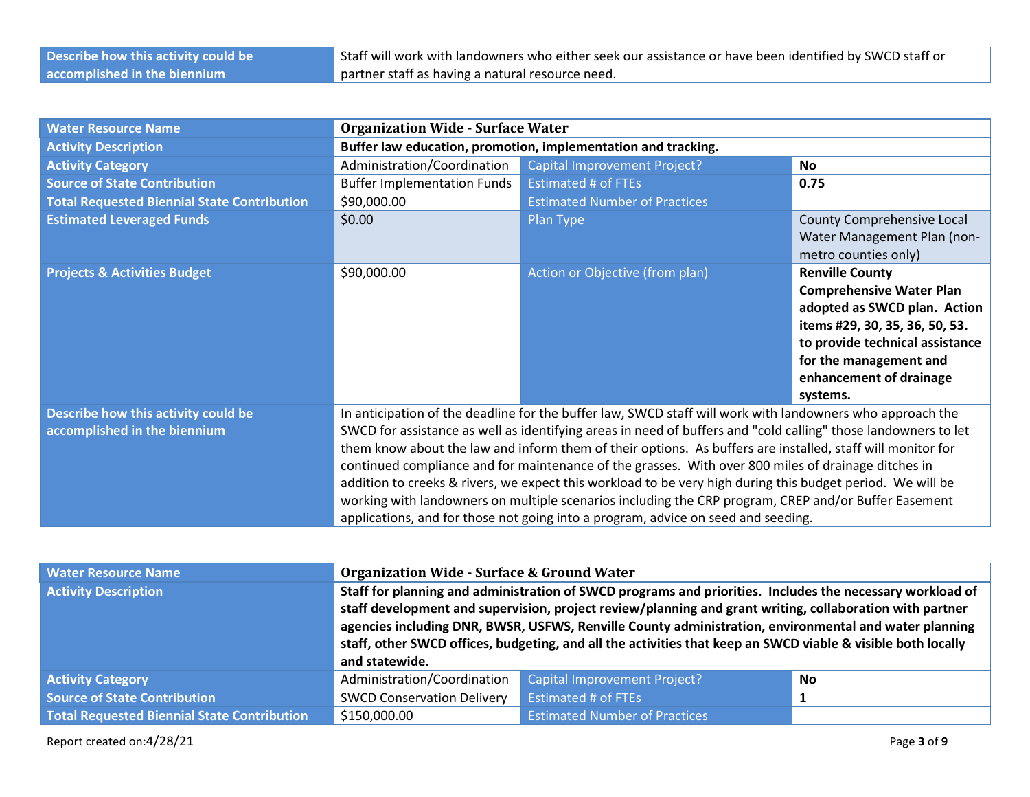| Describe how this activity could be | Staff will work with landowners who either seek our assistance or have been identified by SWCD staff or |
|-------------------------------------|---------------------------------------------------------------------------------------------------------|
| accomplished in the biennium        | partner staff as having a natural resource need.                                                        |

| <b>Water Resource Name</b>                                          | <b>Organization Wide - Surface Water</b> |                                                                                                                                                                                                                                                                                                                                                                                                                                                                                                                                                                                                                                                                                                                                                             |                                                                                                                                                                                                                                 |  |
|---------------------------------------------------------------------|------------------------------------------|-------------------------------------------------------------------------------------------------------------------------------------------------------------------------------------------------------------------------------------------------------------------------------------------------------------------------------------------------------------------------------------------------------------------------------------------------------------------------------------------------------------------------------------------------------------------------------------------------------------------------------------------------------------------------------------------------------------------------------------------------------------|---------------------------------------------------------------------------------------------------------------------------------------------------------------------------------------------------------------------------------|--|
| <b>Activity Description</b>                                         |                                          | Buffer law education, promotion, implementation and tracking.                                                                                                                                                                                                                                                                                                                                                                                                                                                                                                                                                                                                                                                                                               |                                                                                                                                                                                                                                 |  |
| <b>Activity Category</b>                                            | Administration/Coordination              | Capital Improvement Project?                                                                                                                                                                                                                                                                                                                                                                                                                                                                                                                                                                                                                                                                                                                                | <b>No</b>                                                                                                                                                                                                                       |  |
| <b>Source of State Contribution</b>                                 | <b>Buffer Implementation Funds</b>       | <b>Estimated # of FTEs</b>                                                                                                                                                                                                                                                                                                                                                                                                                                                                                                                                                                                                                                                                                                                                  | 0.75                                                                                                                                                                                                                            |  |
| <b>Total Requested Biennial State Contribution</b>                  | \$90,000.00                              | <b>Estimated Number of Practices</b>                                                                                                                                                                                                                                                                                                                                                                                                                                                                                                                                                                                                                                                                                                                        |                                                                                                                                                                                                                                 |  |
| <b>Estimated Leveraged Funds</b>                                    | \$0.00                                   | Plan Type                                                                                                                                                                                                                                                                                                                                                                                                                                                                                                                                                                                                                                                                                                                                                   | County Comprehensive Local<br>Water Management Plan (non-<br>metro counties only)                                                                                                                                               |  |
| <b>Projects &amp; Activities Budget</b>                             | \$90,000.00                              | Action or Objective (from plan)                                                                                                                                                                                                                                                                                                                                                                                                                                                                                                                                                                                                                                                                                                                             | <b>Renville County</b><br><b>Comprehensive Water Plan</b><br>adopted as SWCD plan. Action<br>items #29, 30, 35, 36, 50, 53.<br>to provide technical assistance<br>for the management and<br>enhancement of drainage<br>systems. |  |
| Describe how this activity could be<br>accomplished in the biennium |                                          | In anticipation of the deadline for the buffer law, SWCD staff will work with landowners who approach the<br>SWCD for assistance as well as identifying areas in need of buffers and "cold calling" those landowners to let<br>them know about the law and inform them of their options. As buffers are installed, staff will monitor for<br>continued compliance and for maintenance of the grasses. With over 800 miles of drainage ditches in<br>addition to creeks & rivers, we expect this workload to be very high during this budget period. We will be<br>working with landowners on multiple scenarios including the CRP program, CREP and/or Buffer Easement<br>applications, and for those not going into a program, advice on seed and seeding. |                                                                                                                                                                                                                                 |  |

| <b>Water Resource Name</b>                  | <b>Organization Wide - Surface &amp; Ground Water</b>                                                                                                                                                                                                                                                                                                                                                                                                            |                                      |    |
|---------------------------------------------|------------------------------------------------------------------------------------------------------------------------------------------------------------------------------------------------------------------------------------------------------------------------------------------------------------------------------------------------------------------------------------------------------------------------------------------------------------------|--------------------------------------|----|
| <b>Activity Description</b>                 | Staff for planning and administration of SWCD programs and priorities. Includes the necessary workload of<br>staff development and supervision, project review/planning and grant writing, collaboration with partner<br>agencies including DNR, BWSR, USFWS, Renville County administration, environmental and water planning<br>staff, other SWCD offices, budgeting, and all the activities that keep an SWCD viable & visible both locally<br>and statewide. |                                      |    |
| <b>Activity Category</b>                    | Administration/Coordination                                                                                                                                                                                                                                                                                                                                                                                                                                      | <b>Capital Improvement Project?</b>  | No |
| <b>Source of State Contribution</b>         | <b>SWCD Conservation Delivery</b>                                                                                                                                                                                                                                                                                                                                                                                                                                | Estimated # of FTEs                  |    |
| Total Requested Biennial State Contribution | \$150,000.00                                                                                                                                                                                                                                                                                                                                                                                                                                                     | <b>Estimated Number of Practices</b> |    |

Report created on:4/28/21 Page **3** of **9**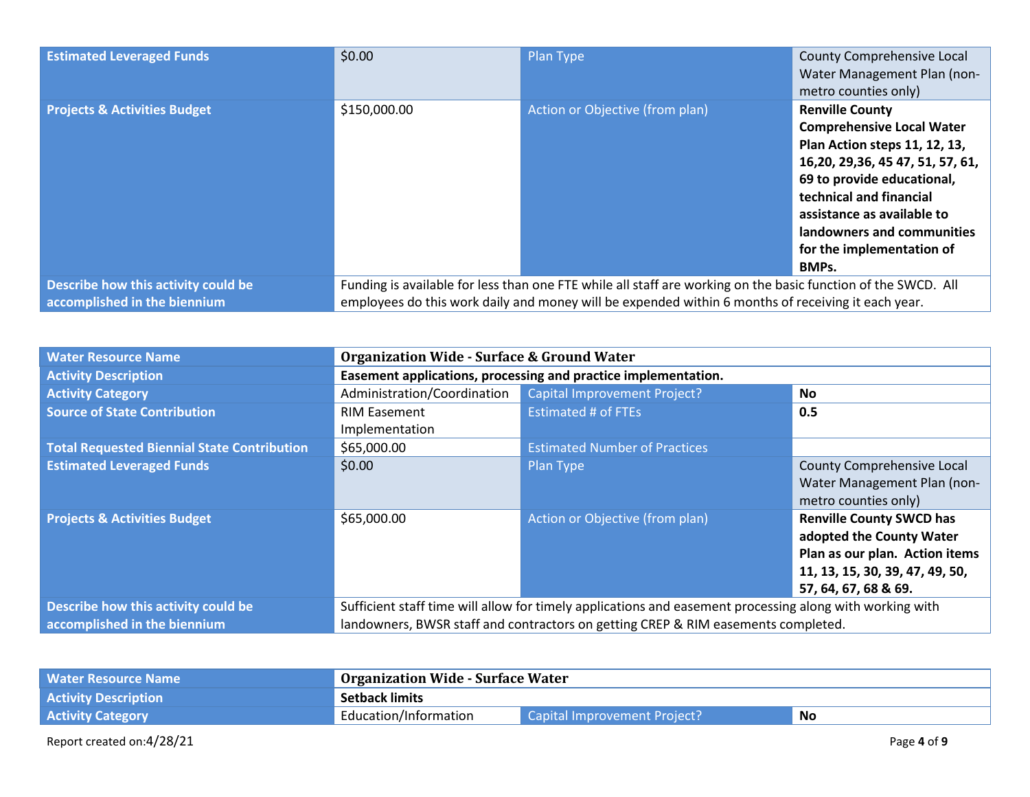| <b>Estimated Leveraged Funds</b>                                    | \$0.00                                                                                                                                                                                                              | Plan Type                       | County Comprehensive Local<br>Water Management Plan (non-<br>metro counties only)                                                                                                                                                                                                                   |
|---------------------------------------------------------------------|---------------------------------------------------------------------------------------------------------------------------------------------------------------------------------------------------------------------|---------------------------------|-----------------------------------------------------------------------------------------------------------------------------------------------------------------------------------------------------------------------------------------------------------------------------------------------------|
| <b>Projects &amp; Activities Budget</b>                             | \$150,000.00                                                                                                                                                                                                        | Action or Objective (from plan) | <b>Renville County</b><br><b>Comprehensive Local Water</b><br>Plan Action steps 11, 12, 13,<br>16, 20, 29, 36, 45 47, 51, 57, 61,<br>69 to provide educational,<br>technical and financial<br>assistance as available to<br>landowners and communities<br>for the implementation of<br><b>BMPs.</b> |
| Describe how this activity could be<br>accomplished in the biennium | Funding is available for less than one FTE while all staff are working on the basic function of the SWCD. All<br>employees do this work daily and money will be expended within 6 months of receiving it each year. |                                 |                                                                                                                                                                                                                                                                                                     |

| <b>Water Resource Name</b>                         | <b>Organization Wide - Surface &amp; Ground Water</b>                                                    |                                      |                                                                                                                                                          |
|----------------------------------------------------|----------------------------------------------------------------------------------------------------------|--------------------------------------|----------------------------------------------------------------------------------------------------------------------------------------------------------|
| <b>Activity Description</b>                        | Easement applications, processing and practice implementation.                                           |                                      |                                                                                                                                                          |
| <b>Activity Category</b>                           | Administration/Coordination                                                                              | <b>Capital Improvement Project?</b>  | <b>No</b>                                                                                                                                                |
| <b>Source of State Contribution</b>                | <b>RIM Easement</b><br>Implementation                                                                    | <b>Estimated # of FTEs</b>           | 0.5                                                                                                                                                      |
| <b>Total Requested Biennial State Contribution</b> | \$65,000.00                                                                                              | <b>Estimated Number of Practices</b> |                                                                                                                                                          |
| <b>Estimated Leveraged Funds</b>                   | \$0.00                                                                                                   | Plan Type                            | County Comprehensive Local<br>Water Management Plan (non-<br>metro counties only)                                                                        |
| <b>Projects &amp; Activities Budget</b>            | \$65,000.00                                                                                              | Action or Objective (from plan)      | <b>Renville County SWCD has</b><br>adopted the County Water<br>Plan as our plan. Action items<br>11, 13, 15, 30, 39, 47, 49, 50,<br>57, 64, 67, 68 & 69. |
| Describe how this activity could be                | Sufficient staff time will allow for timely applications and easement processing along with working with |                                      |                                                                                                                                                          |
| accomplished in the biennium                       | landowners, BWSR staff and contractors on getting CREP & RIM easements completed.                        |                                      |                                                                                                                                                          |

| <b>Water Resource Name</b>  | <b>Organization Wide - Surface Water</b> |                                     |    |
|-----------------------------|------------------------------------------|-------------------------------------|----|
| <b>Activity Description</b> | <b>Setback limits</b>                    |                                     |    |
| <b>Activity Category</b>    | Education/Information                    | <b>Capital Improvement Project?</b> | No |

Report created on:4/28/21 Page **4** of **9**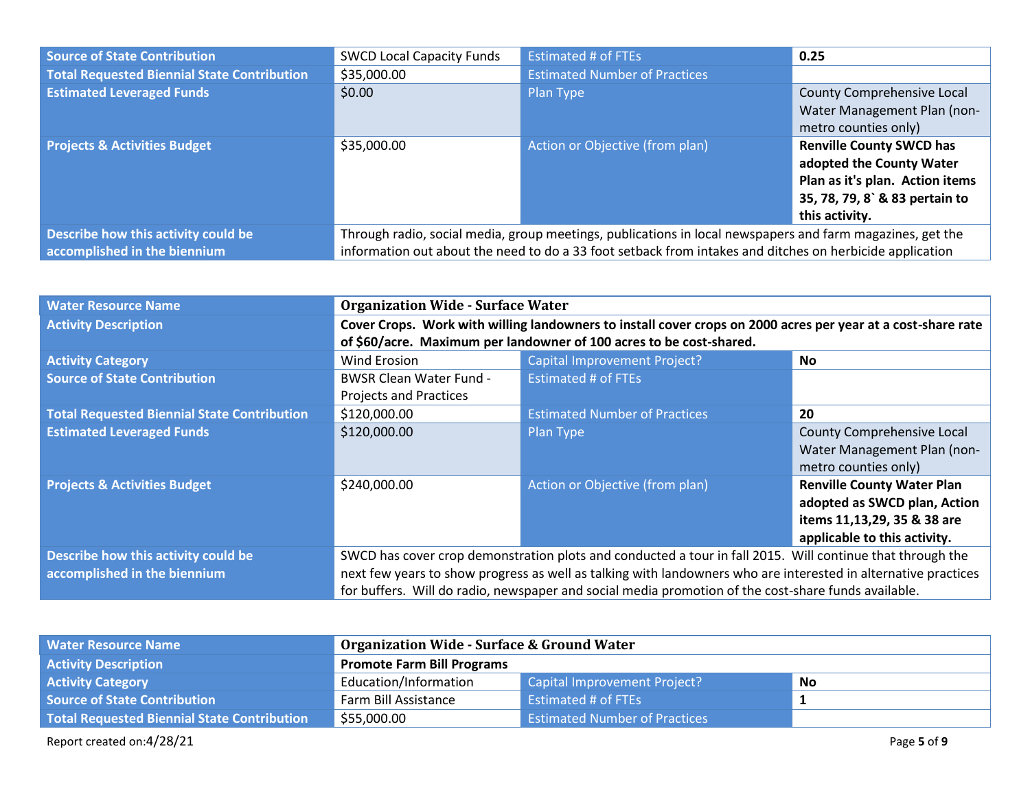| <b>Source of State Contribution</b>                | <b>SWCD Local Capacity Funds</b>                                                                          | Estimated # of FTEs                  | 0.25                            |
|----------------------------------------------------|-----------------------------------------------------------------------------------------------------------|--------------------------------------|---------------------------------|
| <b>Total Requested Biennial State Contribution</b> | \$35,000.00                                                                                               | <b>Estimated Number of Practices</b> |                                 |
| <b>Estimated Leveraged Funds</b>                   | \$0.00                                                                                                    | Plan Type                            | County Comprehensive Local      |
|                                                    |                                                                                                           |                                      | Water Management Plan (non-     |
|                                                    |                                                                                                           |                                      | metro counties only)            |
| <b>Projects &amp; Activities Budget</b>            | \$35,000.00                                                                                               | Action or Objective (from plan)      | <b>Renville County SWCD has</b> |
|                                                    |                                                                                                           |                                      | adopted the County Water        |
|                                                    |                                                                                                           |                                      | Plan as it's plan. Action items |
|                                                    |                                                                                                           |                                      | 35, 78, 79, 8` & 83 pertain to  |
|                                                    |                                                                                                           |                                      | this activity.                  |
| Describe how this activity could be                | Through radio, social media, group meetings, publications in local newspapers and farm magazines, get the |                                      |                                 |
| accomplished in the biennium                       | information out about the need to do a 33 foot setback from intakes and ditches on herbicide application  |                                      |                                 |

| <b>Water Resource Name</b>                         | <b>Organization Wide - Surface Water</b>                                                                       |                                                                     |                                   |
|----------------------------------------------------|----------------------------------------------------------------------------------------------------------------|---------------------------------------------------------------------|-----------------------------------|
| <b>Activity Description</b>                        | Cover Crops. Work with willing landowners to install cover crops on 2000 acres per year at a cost-share rate   |                                                                     |                                   |
|                                                    |                                                                                                                | of \$60/acre. Maximum per landowner of 100 acres to be cost-shared. |                                   |
| <b>Activity Category</b>                           | Wind Erosion                                                                                                   | <b>Capital Improvement Project?</b>                                 | <b>No</b>                         |
| <b>Source of State Contribution</b>                | <b>BWSR Clean Water Fund -</b>                                                                                 | <b>Estimated # of FTEs</b>                                          |                                   |
|                                                    | <b>Projects and Practices</b>                                                                                  |                                                                     |                                   |
| <b>Total Requested Biennial State Contribution</b> | \$120,000.00                                                                                                   | <b>Estimated Number of Practices</b>                                | 20                                |
| <b>Estimated Leveraged Funds</b>                   | \$120,000.00                                                                                                   | Plan Type                                                           | County Comprehensive Local        |
|                                                    |                                                                                                                |                                                                     | Water Management Plan (non-       |
|                                                    |                                                                                                                |                                                                     | metro counties only)              |
| <b>Projects &amp; Activities Budget</b>            | \$240,000.00                                                                                                   | Action or Objective (from plan)                                     | <b>Renville County Water Plan</b> |
|                                                    |                                                                                                                |                                                                     | adopted as SWCD plan, Action      |
|                                                    |                                                                                                                |                                                                     | items 11,13,29, 35 & 38 are       |
|                                                    |                                                                                                                |                                                                     | applicable to this activity.      |
| Describe how this activity could be                | SWCD has cover crop demonstration plots and conducted a tour in fall 2015. Will continue that through the      |                                                                     |                                   |
| accomplished in the biennium                       | next few years to show progress as well as talking with landowners who are interested in alternative practices |                                                                     |                                   |
|                                                    | for buffers. Will do radio, newspaper and social media promotion of the cost-share funds available.            |                                                                     |                                   |

| <b>Water Resource Name</b>                  | <b>Organization Wide - Surface &amp; Ground Water</b> |                                      |           |
|---------------------------------------------|-------------------------------------------------------|--------------------------------------|-----------|
| <b>Activity Description</b>                 | <b>Promote Farm Bill Programs</b>                     |                                      |           |
| <b>Activity Category</b>                    | Education/Information                                 | Capital Improvement Project?         | <b>No</b> |
| <b>Source of State Contribution</b>         | Farm Bill Assistance                                  | <b>Estimated # of FTEs</b>           |           |
| Total Requested Biennial State Contribution | \$55,000.00                                           | <b>Estimated Number of Practices</b> |           |

Report created on:4/28/21 Page **5** of **9**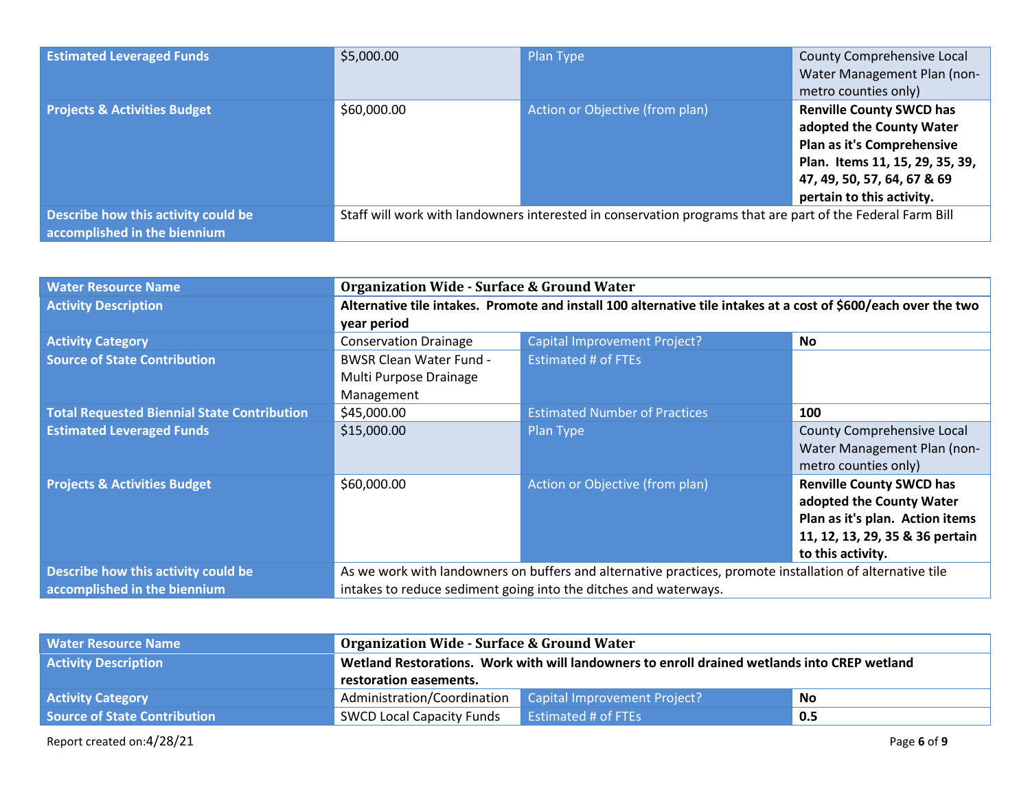| <b>Estimated Leveraged Funds</b>                                    | \$5,000.00                                                                                                 | Plan Type                       | County Comprehensive Local<br>Water Management Plan (non-<br>metro counties only)                                                                                                        |
|---------------------------------------------------------------------|------------------------------------------------------------------------------------------------------------|---------------------------------|------------------------------------------------------------------------------------------------------------------------------------------------------------------------------------------|
| <b>Projects &amp; Activities Budget</b>                             | \$60,000.00                                                                                                | Action or Objective (from plan) | <b>Renville County SWCD has</b><br>adopted the County Water<br>Plan as it's Comprehensive<br>Plan. Items 11, 15, 29, 35, 39,<br>47, 49, 50, 57, 64, 67 & 69<br>pertain to this activity. |
| Describe how this activity could be<br>accomplished in the biennium | Staff will work with landowners interested in conservation programs that are part of the Federal Farm Bill |                                 |                                                                                                                                                                                          |

| <b>Water Resource Name</b>                         | <b>Organization Wide - Surface &amp; Ground Water</b>                                                           |                                                                  |                                 |  |
|----------------------------------------------------|-----------------------------------------------------------------------------------------------------------------|------------------------------------------------------------------|---------------------------------|--|
| <b>Activity Description</b>                        | Alternative tile intakes. Promote and install 100 alternative tile intakes at a cost of \$600/each over the two |                                                                  |                                 |  |
|                                                    | year period                                                                                                     |                                                                  |                                 |  |
| <b>Activity Category</b>                           | <b>Conservation Drainage</b>                                                                                    | <b>Capital Improvement Project?</b>                              | <b>No</b>                       |  |
| <b>Source of State Contribution</b>                | <b>BWSR Clean Water Fund -</b>                                                                                  | <b>Estimated # of FTEs</b>                                       |                                 |  |
|                                                    | Multi Purpose Drainage                                                                                          |                                                                  |                                 |  |
|                                                    | Management                                                                                                      |                                                                  |                                 |  |
| <b>Total Requested Biennial State Contribution</b> | \$45,000.00                                                                                                     | <b>Estimated Number of Practices</b>                             | 100                             |  |
| <b>Estimated Leveraged Funds</b>                   | \$15,000.00                                                                                                     | Plan Type                                                        | County Comprehensive Local      |  |
|                                                    |                                                                                                                 |                                                                  | Water Management Plan (non-     |  |
|                                                    |                                                                                                                 |                                                                  | metro counties only)            |  |
| <b>Projects &amp; Activities Budget</b>            | \$60,000.00                                                                                                     | Action or Objective (from plan)                                  | <b>Renville County SWCD has</b> |  |
|                                                    |                                                                                                                 |                                                                  | adopted the County Water        |  |
|                                                    |                                                                                                                 |                                                                  | Plan as it's plan. Action items |  |
|                                                    |                                                                                                                 |                                                                  | 11, 12, 13, 29, 35 & 36 pertain |  |
|                                                    |                                                                                                                 |                                                                  | to this activity.               |  |
| Describe how this activity could be                | As we work with landowners on buffers and alternative practices, promote installation of alternative tile       |                                                                  |                                 |  |
| accomplished in the biennium                       |                                                                                                                 | intakes to reduce sediment going into the ditches and waterways. |                                 |  |

| <b>Water Resource Name</b>          | <b>Organization Wide - Surface &amp; Ground Water</b>                                        |                              |     |
|-------------------------------------|----------------------------------------------------------------------------------------------|------------------------------|-----|
| <b>Activity Description</b>         | Wetland Restorations. Work with will landowners to enroll drained wetlands into CREP wetland |                              |     |
|                                     | restoration easements.                                                                       |                              |     |
| <b>Activity Category</b>            | Administration/Coordination                                                                  | Capital Improvement Project? | No  |
| <b>Source of State Contribution</b> | <b>SWCD Local Capacity Funds</b>                                                             | <b>Estimated # of FTEs</b>   | 0.5 |

Report created on:4/28/21 Page **6** of **9**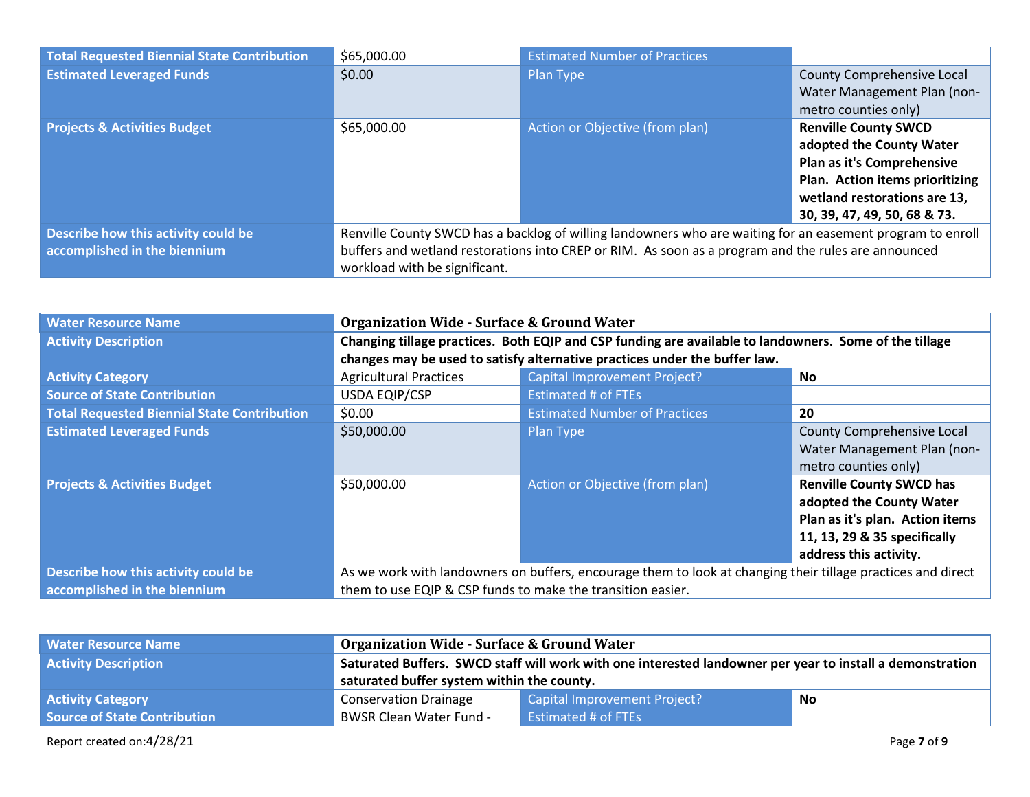| <b>Total Requested Biennial State Contribution</b> | \$65,000.00                                                                                                | <b>Estimated Number of Practices</b> |                                 |  |
|----------------------------------------------------|------------------------------------------------------------------------------------------------------------|--------------------------------------|---------------------------------|--|
| <b>Estimated Leveraged Funds</b>                   | \$0.00                                                                                                     | Plan Type                            | County Comprehensive Local      |  |
|                                                    |                                                                                                            |                                      | Water Management Plan (non-     |  |
|                                                    |                                                                                                            |                                      | metro counties only)            |  |
| <b>Projects &amp; Activities Budget</b>            | \$65,000.00                                                                                                | Action or Objective (from plan)      | <b>Renville County SWCD</b>     |  |
|                                                    |                                                                                                            |                                      | adopted the County Water        |  |
|                                                    |                                                                                                            |                                      | Plan as it's Comprehensive      |  |
|                                                    |                                                                                                            |                                      | Plan. Action items prioritizing |  |
|                                                    |                                                                                                            |                                      | wetland restorations are 13,    |  |
|                                                    |                                                                                                            |                                      | 30, 39, 47, 49, 50, 68 & 73.    |  |
| Describe how this activity could be                | Renville County SWCD has a backlog of willing landowners who are waiting for an easement program to enroll |                                      |                                 |  |
| accomplished in the biennium                       | buffers and wetland restorations into CREP or RIM. As soon as a program and the rules are announced        |                                      |                                 |  |
|                                                    | workload with be significant.                                                                              |                                      |                                 |  |

| <b>Water Resource Name</b>                         | <b>Organization Wide - Surface &amp; Ground Water</b>                                                        |                                                                            |                                 |
|----------------------------------------------------|--------------------------------------------------------------------------------------------------------------|----------------------------------------------------------------------------|---------------------------------|
| <b>Activity Description</b>                        | Changing tillage practices. Both EQIP and CSP funding are available to landowners. Some of the tillage       |                                                                            |                                 |
|                                                    |                                                                                                              | changes may be used to satisfy alternative practices under the buffer law. |                                 |
| <b>Activity Category</b>                           | <b>Agricultural Practices</b>                                                                                | <b>Capital Improvement Project?</b>                                        | No.                             |
| <b>Source of State Contribution</b>                | <b>USDA EQIP/CSP</b>                                                                                         | Estimated # of FTEs                                                        |                                 |
| <b>Total Requested Biennial State Contribution</b> | \$0.00                                                                                                       | <b>Estimated Number of Practices</b>                                       | 20                              |
| <b>Estimated Leveraged Funds</b>                   | \$50,000.00                                                                                                  | Plan Type                                                                  | County Comprehensive Local      |
|                                                    |                                                                                                              |                                                                            | Water Management Plan (non-     |
|                                                    |                                                                                                              |                                                                            | metro counties only)            |
| <b>Projects &amp; Activities Budget</b>            | \$50,000.00                                                                                                  | Action or Objective (from plan)                                            | <b>Renville County SWCD has</b> |
|                                                    |                                                                                                              |                                                                            | adopted the County Water        |
|                                                    |                                                                                                              |                                                                            | Plan as it's plan. Action items |
|                                                    |                                                                                                              |                                                                            | 11, 13, 29 & 35 specifically    |
|                                                    |                                                                                                              |                                                                            | address this activity.          |
| Describe how this activity could be                | As we work with landowners on buffers, encourage them to look at changing their tillage practices and direct |                                                                            |                                 |
| accomplished in the biennium                       | them to use EQIP & CSP funds to make the transition easier.                                                  |                                                                            |                                 |

| <b>Water Resource Name</b>          | <b>Organization Wide - Surface &amp; Ground Water</b>                                                     |                            |  |
|-------------------------------------|-----------------------------------------------------------------------------------------------------------|----------------------------|--|
| <b>Activity Description</b>         | Saturated Buffers. SWCD staff will work with one interested landowner per year to install a demonstration |                            |  |
|                                     | saturated buffer system within the county.                                                                |                            |  |
| <b>Activity Category</b>            | Capital Improvement Project?<br><b>Conservation Drainage</b><br>No                                        |                            |  |
| <b>Source of State Contribution</b> | <b>BWSR Clean Water Fund -</b>                                                                            | <b>Estimated # of FTEs</b> |  |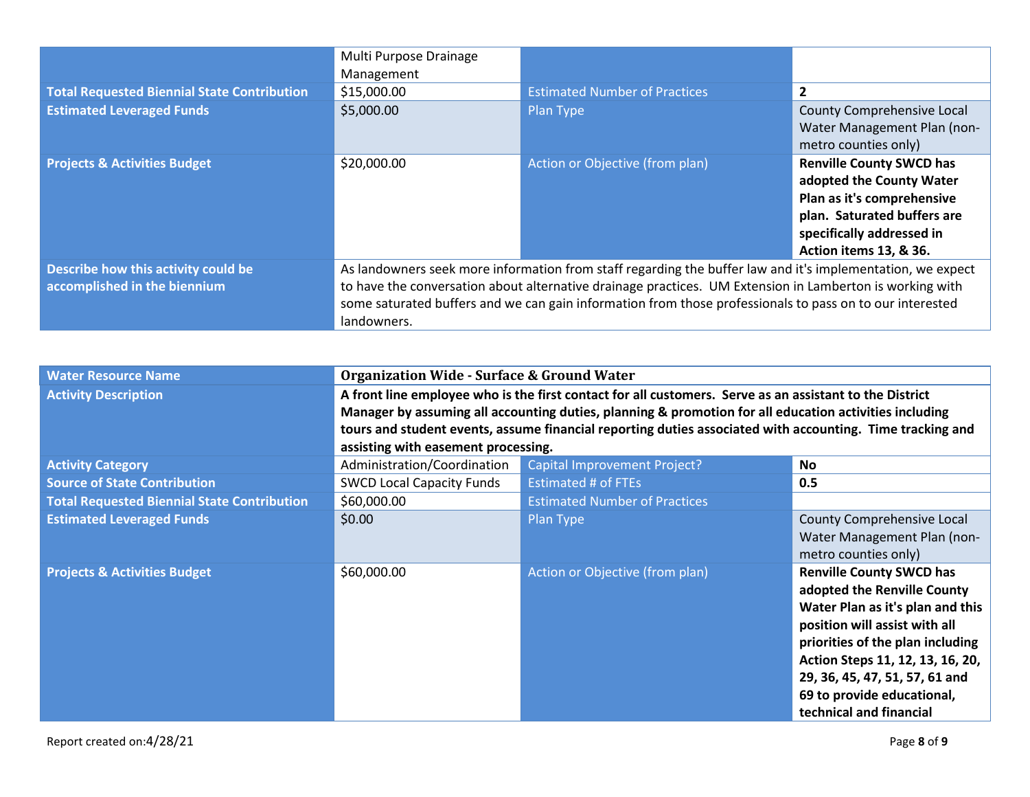|                                                    | Multi Purpose Drainage<br>Management                                                                     |                                                                                                            |                                 |
|----------------------------------------------------|----------------------------------------------------------------------------------------------------------|------------------------------------------------------------------------------------------------------------|---------------------------------|
| <b>Total Requested Biennial State Contribution</b> | \$15,000.00                                                                                              | <b>Estimated Number of Practices</b>                                                                       | $\overline{2}$                  |
| <b>Estimated Leveraged Funds</b>                   | \$5,000.00                                                                                               | Plan Type                                                                                                  | County Comprehensive Local      |
|                                                    |                                                                                                          |                                                                                                            | Water Management Plan (non-     |
|                                                    |                                                                                                          |                                                                                                            | metro counties only)            |
| <b>Projects &amp; Activities Budget</b>            | \$20,000.00                                                                                              | Action or Objective (from plan)                                                                            | <b>Renville County SWCD has</b> |
|                                                    |                                                                                                          |                                                                                                            | adopted the County Water        |
|                                                    |                                                                                                          |                                                                                                            | Plan as it's comprehensive      |
|                                                    |                                                                                                          |                                                                                                            | plan. Saturated buffers are     |
|                                                    |                                                                                                          |                                                                                                            | specifically addressed in       |
|                                                    |                                                                                                          |                                                                                                            | Action items 13, & 36.          |
| Describe how this activity could be                |                                                                                                          | As landowners seek more information from staff regarding the buffer law and it's implementation, we expect |                                 |
| accomplished in the biennium                       | to have the conversation about alternative drainage practices. UM Extension in Lamberton is working with |                                                                                                            |                                 |
|                                                    | some saturated buffers and we can gain information from those professionals to pass on to our interested |                                                                                                            |                                 |
|                                                    | landowners.                                                                                              |                                                                                                            |                                 |

| <b>Water Resource Name</b>                         | <b>Organization Wide - Surface &amp; Ground Water</b>                                                   |                                                                                                           |                                  |
|----------------------------------------------------|---------------------------------------------------------------------------------------------------------|-----------------------------------------------------------------------------------------------------------|----------------------------------|
| <b>Activity Description</b>                        | A front line employee who is the first contact for all customers. Serve as an assistant to the District |                                                                                                           |                                  |
|                                                    | Manager by assuming all accounting duties, planning & promotion for all education activities including  |                                                                                                           |                                  |
|                                                    |                                                                                                         | tours and student events, assume financial reporting duties associated with accounting. Time tracking and |                                  |
|                                                    | assisting with easement processing.                                                                     |                                                                                                           |                                  |
| <b>Activity Category</b>                           | Administration/Coordination                                                                             | <b>Capital Improvement Project?</b>                                                                       | <b>No</b>                        |
| <b>Source of State Contribution</b>                | <b>SWCD Local Capacity Funds</b>                                                                        | <b>Estimated # of FTEs</b>                                                                                | 0.5                              |
| <b>Total Requested Biennial State Contribution</b> | \$60,000.00                                                                                             | <b>Estimated Number of Practices</b>                                                                      |                                  |
| <b>Estimated Leveraged Funds</b>                   | \$0.00                                                                                                  | Plan Type                                                                                                 | County Comprehensive Local       |
|                                                    |                                                                                                         |                                                                                                           | Water Management Plan (non-      |
|                                                    |                                                                                                         |                                                                                                           | metro counties only)             |
| <b>Projects &amp; Activities Budget</b>            | \$60,000.00                                                                                             | Action or Objective (from plan)                                                                           | <b>Renville County SWCD has</b>  |
|                                                    |                                                                                                         |                                                                                                           | adopted the Renville County      |
|                                                    |                                                                                                         |                                                                                                           | Water Plan as it's plan and this |
|                                                    |                                                                                                         |                                                                                                           | position will assist with all    |
|                                                    |                                                                                                         |                                                                                                           | priorities of the plan including |
|                                                    |                                                                                                         |                                                                                                           | Action Steps 11, 12, 13, 16, 20, |
|                                                    |                                                                                                         |                                                                                                           | 29, 36, 45, 47, 51, 57, 61 and   |
|                                                    |                                                                                                         |                                                                                                           | 69 to provide educational,       |
|                                                    |                                                                                                         |                                                                                                           | technical and financial          |